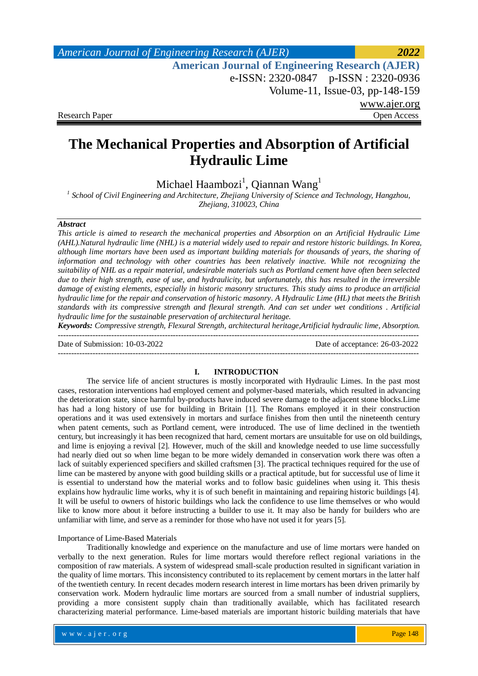# **The Mechanical Properties and Absorption of Artificial Hydraulic Lime**

Michael Haambozi<sup>1</sup>, Qiannan Wang<sup>1</sup>

<sup>1</sup> School of Civil Engineering and Architecture, Zhejiang University of Science and Technology, Hangzhou, *Zhejiang, 310023, China*

## *Abstract*

*This article is aimed to research the mechanical properties and Absorption on an Artificial Hydraulic Lime (AHL).Natural hydraulic lime (NHL) is a material widely used to repair and restore historic buildings. In Korea, although lime mortars have been used as important building materials for thousands of years, the sharing of information and technology with other countries has been relatively inactive. While not recognizing the suitability of NHL as a repair material, undesirable materials such as Portland cement have often been selected due to their high strength, ease of use, and hydraulicity, but unfortunately, this has resulted in the irreversible damage of existing elements, especially in historic masonry structures. This study aims to produce an artificial hydraulic lime for the repair and conservation of historic masonry. A Hydraulic Lime (HL) that meets the British standards with its compressive strength and flexural strength. And can set under wet conditions . Artificial hydraulic lime for the sustainable preservation of architectural heritage.*

*Keywords: Compressive strength, Flexural Strength, architectural heritage,Artificial hydraulic lime, Absorption.* ---------------------------------------------------------------------------------------------------------------------------------------

Date of Submission: 10-03-2022 Date of acceptance: 26-03-2022

---------------------------------------------------------------------------------------------------------------------------------------

#### **I. INTRODUCTION**

The service life of ancient structures is mostly incorporated with Hydraulic Limes. In the past most cases, restoration interventions had employed cement and polymer-based materials, which resulted in advancing the deterioration state, since harmful by-products have induced severe damage to the adjacent stone blocks.Lime has had a long history of use for building in Britain [1]. The Romans employed it in their construction operations and it was used extensively in mortars and surface finishes from then until the nineteenth century when patent cements, such as Portland cement, were introduced. The use of lime declined in the twentieth century, but increasingly it has been recognized that hard, cement mortars are unsuitable for use on old buildings, and lime is enjoying a revival [2]. However, much of the skill and knowledge needed to use lime successfully had nearly died out so when lime began to be more widely demanded in conservation work there was often a lack of suitably experienced specifiers and skilled craftsmen [3]. The practical techniques required for the use of lime can be mastered by anyone with good building skills or a practical aptitude, but for successful use of lime it is essential to understand how the material works and to follow basic guidelines when using it. This thesis explains how hydraulic lime works, why it is of such benefit in maintaining and repairing historic buildings [4]. It will be useful to owners of historic buildings who lack the confidence to use lime themselves or who would like to know more about it before instructing a builder to use it. It may also be handy for builders who are unfamiliar with lime, and serve as a reminder for those who have not used it for years [5].

#### Importance of Lime-Based Materials

Traditionally knowledge and experience on the manufacture and use of lime mortars were handed on verbally to the next generation. Rules for lime mortars would therefore reflect regional variations in the composition of raw materials. A system of widespread small-scale production resulted in significant variation in the quality of lime mortars. This inconsistency contributed to its replacement by cement mortars in the latter half of the twentieth century. In recent decades modern research interest in lime mortars has been driven primarily by conservation work. Modern hydraulic lime mortars are sourced from a small number of industrial suppliers, providing a more consistent supply chain than traditionally available, which has facilitated research characterizing material performance. Lime-based materials are important historic building materials that have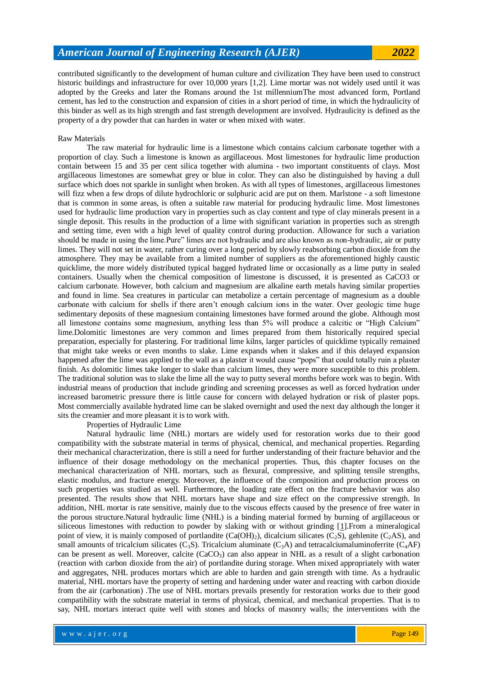contributed significantly to the development of human culture and civilization They have been used to construct historic buildings and infrastructure for over 10,000 years [1,2]. Lime mortar was not widely used until it was adopted by the Greeks and later the Romans around the 1st millenniumThe most advanced form, Portland cement, has led to the construction and expansion of cities in a short period of time, in which the hydraulicity of this binder as well as its high strength and fast strength development are involved. Hydraulicity is defined as the property of a dry powder that can harden in water or when mixed with water.

### Raw Materials

The raw material for hydraulic lime is a limestone which contains calcium carbonate together with a proportion of clay. Such a limestone is known as argillaceous. Most limestones for hydraulic lime production contain between 15 and 35 per cent silica together with alumina - two important constituents of clays. Most argillaceous limestones are somewhat grey or blue in color. They can also be distinguished by having a dull surface which does not sparkle in sunlight when broken. As with all types of limestones, argillaceous limestones will fizz when a few drops of dilute hydrochloric or sulphuric acid are put on them. Marlstone - a soft limestone that is common in some areas, is often a suitable raw material for producing hydraulic lime. Most limestones used for hydraulic lime production vary in properties such as clay content and type of clay minerals present in a single deposit. This results in the production of a lime with significant variation in properties such as strength and setting time, even with a high level of quality control during production. Allowance for such a variation should be made in using the lime.Pure" limes are not hydraulic and are also known as non-hydraulic, air or putty limes. They will not set in water, rather curing over a long period by slowly reabsorbing carbon dioxide from the atmosphere. They may be available from a limited number of suppliers as the aforementioned highly caustic quicklime, the more widely distributed typical bagged hydrated lime or occasionally as a lime putty in sealed containers. Usually when the chemical composition of limestone is discussed, it is presented as CaCO3 or calcium carbonate. However, both calcium and magnesium are alkaline earth metals having similar properties and found in lime. Sea creatures in particular can metabolize a certain percentage of magnesium as a double carbonate with calcium for shells if there aren't enough calcium ions in the water. Over geologic time huge sedimentary deposits of these magnesium containing limestones have formed around the globe. Although most all limestone contains some magnesium, anything less than 5% will produce a calcitic or "High Calcium" lime.Dolomitic limestones are very common and limes prepared from them historically required special preparation, especially for plastering. For traditional lime kilns, larger particles of quicklime typically remained that might take weeks or even months to slake. Lime expands when it slakes and if this delayed expansion happened after the lime was applied to the wall as a plaster it would cause "pops" that could totally ruin a plaster finish. As dolomitic limes take longer to slake than calcium limes, they were more susceptible to this problem. The traditional solution was to slake the lime all the way to putty several months before work was to begin. With industrial means of production that include grinding and screening processes as well as forced hydration under increased barometric pressure there is little cause for concern with delayed hydration or risk of plaster pops. Most commercially available hydrated lime can be slaked overnight and used the next day although the longer it sits the creamier and more pleasant it is to work with.

Properties of Hydraulic Lime

Natural hydraulic lime (NHL) mortars are widely used for restoration works due to their good compatibility with the substrate material in terms of physical, chemical, and mechanical properties. Regarding their mechanical characterization, there is still a need for further understanding of their fracture behavior and the influence of their dosage methodology on the mechanical properties. Thus, this chapter focuses on the mechanical characterization of NHL mortars, such as flexural, compressive, and splitting tensile strengths, elastic modulus, and fracture energy. Moreover, the influence of the composition and production process on such properties was studied as well. Furthermore, the loading rate effect on the fracture behavior was also presented. The results show that NHL mortars have shape and size effect on the compressive strength. In addition, NHL mortar is rate sensitive, mainly due to the viscous effects caused by the presence of free water in the porous structure.Natural hydraulic lime (NHL) is a binding material formed by burning of argillaceous or siliceous limestones with reduction to powder by slaking with or without grinding [\[1\]](https://www.intechopen.com/books/sustainable-construction-and-building-materials/mechanical-behavior-of-natural-hydraulic-lime-mortars#B1).From a mineralogical point of view, it is mainly composed of portlandite  $(Ca(OH)_2)$ , dicalcium silicates  $(C_2S)$ , gehlenite  $(C_2AS)$ , and small amounts of tricalcium silicates (C<sub>3</sub>S). Tricalcium aluminate (C<sub>3</sub>A) and tetracalciumaluminoferrite (C<sub>4</sub>AF) can be present as well. Moreover, calcite  $(CaCO<sub>3</sub>)$  can also appear in NHL as a result of a slight carbonation (reaction with carbon dioxide from the air) of portlandite during storage. When mixed appropriately with water and aggregates, NHL produces mortars which are able to harden and gain strength with time. As a hydraulic material, NHL mortars have the property of setting and hardening under water and reacting with carbon dioxide from the air (carbonation) .The use of NHL mortars prevails presently for restoration works due to their good compatibility with the substrate material in terms of physical, chemical, and mechanical properties. That is to say, NHL mortars interact quite well with stones and blocks of masonry walls; the interventions with the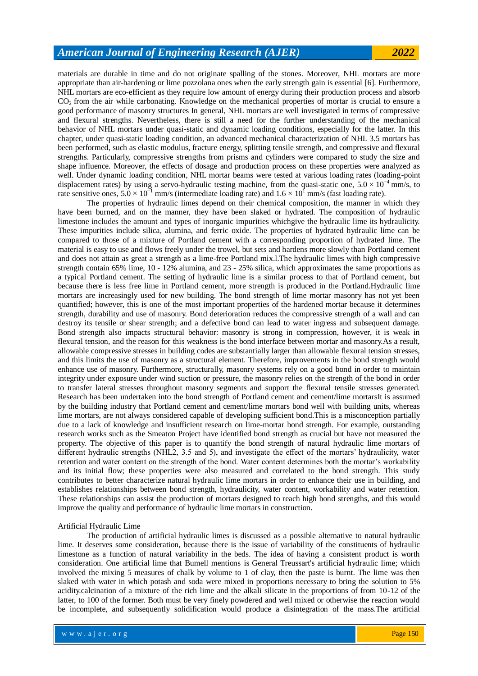materials are durable in time and do not originate spalling of the stones. Moreover, NHL mortars are more appropriate than air-hardening or lime pozzolana ones when the early strength gain is essential [\[6\]](https://www.intechopen.com/books/sustainable-construction-and-building-materials/mechanical-behavior-of-natural-hydraulic-lime-mortars#B6). Furthermore, NHL mortars are eco-efficient as they require low amount of energy during their production process and absorb  $CO<sub>2</sub>$  from the air while carbonating. Knowledge on the mechanical properties of mortar is crucial to ensure a good performance of masonry structures In general, NHL mortars are well investigated in terms of compressive and flexural strengths. Nevertheless, there is still a need for the further understanding of the mechanical behavior of NHL mortars under quasi-static and dynamic loading conditions, especially for the latter. In this chapter, under quasi-static loading condition, an advanced mechanical characterization of NHL 3.5 mortars has been performed, such as elastic modulus, fracture energy, splitting tensile strength, and compressive and flexural strengths. Particularly, compressive strengths from prisms and cylinders were compared to study the size and shape influence. Moreover, the effects of dosage and production process on these properties were analyzed as well. Under dynamic loading condition, NHL mortar beams were tested at various loading rates (loading-point displacement rates) by using a servo-hydraulic testing machine, from the quasi-static one,  $5.0 \times 10^{-4}$  mm/s, to rate sensitive ones,  $5.0 \times 10^{-1}$  mm/s (intermediate loading rate) and  $1.6 \times 10^{1}$  mm/s (fast loading rate).

The properties of hydraulic limes depend on their chemical composition, the manner in which they have been burned, and on the manner, they have been slaked or hydrated. The composition of hydraulic limestone includes the amount and types of inorganic impurities whichgive the hydraulic lime its hydraulicity. These impurities include silica, alumina, and ferric oxide. The properties of hydrated hydraulic lime can be compared to those of a mixture of Portland cement with a corresponding proportion of hydrated lime. The material is easy to use and flows freely under the trowel, but sets and hardens more slowly than Portland cement and does not attain as great a strength as a lime-free Portland mix.l.The hydraulic limes with high compressive strength contain 65% lime, 10 - 12% alumina, and 23 - 25% silica, which approximates the same proportions as a typical Portland cement. The setting of hydraulic lime is a similar process to that of Portland cement, but because there is less free lime in Portland cement, more strength is produced in the Portland.Hydraulic lime mortars are increasingly used for new building. The bond strength of lime mortar masonry has not yet been quantified; however, this is one of the most important properties of the hardened mortar because it determines strength, durability and use of masonry. Bond deterioration reduces the compressive strength of a wall and can destroy its tensile or shear strength; and a defective bond can lead to water ingress and subsequent damage. Bond strength also impacts structural behavior: masonry is strong in compression, however, it is weak in flexural tension, and the reason for this weakness is the bond interface between mortar and masonry.As a result, allowable compressive stresses in building codes are substantially larger than allowable flexural tension stresses, and this limits the use of masonry as a structural element. Therefore, improvements in the bond strength would enhance use of masonry. Furthermore, structurally, masonry systems rely on a good bond in order to maintain integrity under exposure under wind suction or pressure, the masonry relies on the strength of the bond in order to transfer lateral stresses throughout masonry segments and support the flexural tensile stresses generated. Research has been undertaken into the bond strength of Portland cement and cement/lime mortarsIt is assumed by the building industry that Portland cement and cement/lime mortars bond well with building units, whereas lime mortars, are not always considered capable of developing sufficient bond.This is a misconception partially due to a lack of knowledge and insufficient research on lime-mortar bond strength. For example, outstanding research works such as the Smeaton Project have identified bond strength as crucial but have not measured the property. The objective of this paper is to quantify the bond strength of natural hydraulic lime mortars of different hydraulic strengths (NHL2, 3.5 and 5), and investigate the effect of the mortars' hydraulicity, water retention and water content on the strength of the bond. Water content determines both the mortar's workability and its initial flow; these properties were also measured and correlated to the bond strength. This study contributes to better characterize natural hydraulic lime mortars in order to enhance their use in building, and establishes relationships between bond strength, hydraulicity, water content, workability and water retention. These relationships can assist the production of mortars designed to reach high bond strengths, and this would improve the quality and performance of hydraulic lime mortars in construction.

#### Artificial Hydraulic Lime

The production of artificial hydraulic limes is discussed as a possible alternative to natural hydraulic lime. It deserves some consideration, because there is the issue of variability of the constituents of hydraulic limestone as a function of natural variability in the beds. The idea of having a consistent product is worth consideration. One artificial lime that Bumell mentions is General Treussart's artificial hydraulic lime; which involved the mixing 5 measures of chalk by volume to 1 of clay, then the paste is burnt. The lime was then slaked with water in which potash and soda were mixed in proportions necessary to bring the solution to 5% acidity.calcination of a mixture of the rich lime and the alkali silicate in the proportions of from 10-12 of the latter, to 100 of the former. Both must be very finely powdered and well mixed or otherwise the reaction would be incomplete, and subsequently solidification would produce a disintegration of the mass.The artificial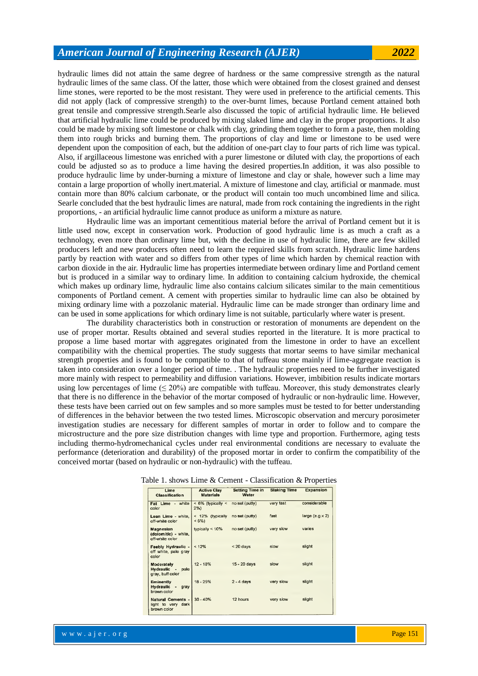hydraulic limes did not attain the same degree of hardness or the same compressive strength as the natural hydraulic limes of the same class. Of the latter, those which were obtained from the closest grained and densest lime stones, were reported to be the most resistant. They were used in preference to the artificial cements. This did not apply (lack of compressive strength) to the over-burnt limes, because Portland cement attained both great tensile and compressive strength.Searle also discussed the topic of artificial hydraulic lime. He believed that artificial hydraulic lime could be produced by mixing slaked lime and clay in the proper proportions. It also could be made by mixing soft limestone or chalk with clay, grinding them together to form a paste, then molding them into rough bricks and burning them. The proportions of clay and lime or limestone to be used were dependent upon the composition of each, but the addition of one-part clay to four parts of rich lime was typical. Also, if argillaceous limestone was enriched with a purer limestone or diluted with clay, the proportions of each could be adjusted so as to produce a lime having the desired properties.In addition, it was also possible to produce hydraulic lime by under-burning a mixture of limestone and clay or shale, however such a lime may contain a large proportion of wholly inert.material. A mixture of limestone and clay, artificial or manmade. must contain more than 80% calcium carbonate, or the product will contain too much uncombined lime and silica. Searle concluded that the best hydraulic limes are natural, made from rock containing the ingredients in the right proportions, - an artificial hydraulic lime cannot produce as uniform a mixture as nature.

Hydraulic lime was an important cementitious material before the arrival of Portland cement but it is little used now, except in conservation work. Production of good hydraulic lime is as much a craft as a technology, even more than ordinary lime but, with the decline in use of hydraulic lime, there are few skilled producers left and new producers often need to learn the required skills from scratch. Hydraulic lime hardens partly by reaction with water and so differs from other types of lime which harden by chemical reaction with carbon dioxide in the air. Hydraulic lime has properties intermediate between ordinary lime and Portland cement but is produced in a similar way to ordinary lime. In addition to containing calcium hydroxide, the chemical which makes up ordinary lime, hydraulic lime also contains calcium silicates similar to the main cementitious components of Portland cement. A cement with properties similar to hydraulic lime can also be obtained by mixing ordinary lime with a pozzolanic material. Hydraulic lime can be made stronger than ordinary lime and can be used in some applications for which ordinary lime is not suitable, particularly where water is present.

The durability characteristics both in construction or restoration of monuments are dependent on the use of proper mortar. Results obtained and several studies reported in the literature. It is more practical to propose a lime based mortar with aggregates originated from the limestone in order to have an excellent compatibility with the chemical properties. The study suggests that mortar seems to have similar mechanical strength properties and is found to be compatible to that of tuffeau stone mainly if lime-aggregate reaction is taken into consideration over a longer period of time. . The hydraulic properties need to be further investigated more mainly with respect to permeability and diffusion variations. However, imbibition results indicate mortars using low percentages of lime  $(\leq 20\%)$  are compatible with tuffeau. Moreover, this study demonstrates clearly that there is no difference in the behavior of the mortar composed of hydraulic or non-hydraulic lime. However, these tests have been carried out on few samples and so more samples must be tested to for better understanding of differences in the behavior between the two tested limes. Microscopic observation and mercury porosimeter investigation studies are necessary for different samples of mortar in order to follow and to compare the microstructure and the pore size distribution changes with lime type and proportion. Furthermore, aging tests including thermo-hydromechanical cycles under real environmental conditions are necessary to evaluate the performance (deterioration and durability) of the proposed mortar in order to confirm the compatibility of the conceived mortar (based on hydraulic or non-hydraulic) with the tuffeau.

|                                                                   | $\tilde{}$                             |                                 |                     | $\alpha$ . The contract of $\alpha$ is the contract of $\alpha$ |
|-------------------------------------------------------------------|----------------------------------------|---------------------------------|---------------------|-----------------------------------------------------------------|
| Lime<br><b>Classification</b>                                     | <b>Active Clay</b><br><b>Materials</b> | <b>Setting Time in</b><br>Water | <b>Slaking Time</b> | <b>Expansion</b>                                                |
| Fat Lime - white<br>color                                         | $<$ 6% (typically $<$<br>$2\%)$        | no set (putty)                  | very fast           | considerable                                                    |
| Lean Lime - white,<br>off-white color                             | < 12% (typically<br>$<6\%$             | no set (putty)                  | fast                | large $(e.g.x 2)$                                               |
| Magnesian<br>(dolomitic) - white,<br>off-white color              | typically $< 10\%$                     | no set (putty)                  | very slow           | varies                                                          |
| Feebly Hydraulic -<br>off white, pale gray<br>color               | < 12%                                  | $< 20$ days                     | slow                | slight                                                          |
| <b>Moderately</b><br><b>Hydraulic</b><br>pale<br>gray, buff color | $12 - 18%$                             | 15 - 20 days                    | slow                | slight                                                          |
| Eminently<br>Hydraulic<br>gray<br>٠<br>brown color                | 18 - 25%                               | $2 - 4$ days                    | very slow           | slight                                                          |
| Natural Cements -<br>dark<br>light to very<br>brown color         | $30 - 40%$                             | 12 hours                        | very slow           | slight                                                          |

#### Table 1. shows Lime & Cement - Classification & Properties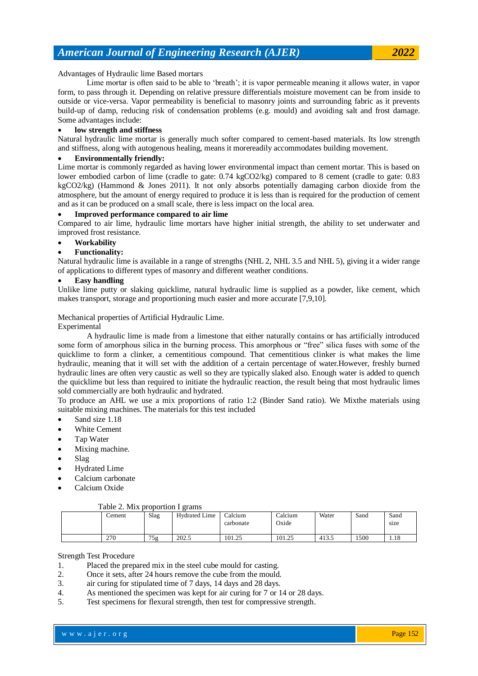Advantages of Hydraulic lime Based mortars

Lime mortar is often said to be able to 'breath'; it is vapor permeable meaning it allows water, in vapor form, to pass through it. Depending on relative pressure differentials moisture movement can be from inside to outside or vice-versa. Vapor permeability is beneficial to masonry joints and surrounding fabric as it prevents build-up of damp, reducing risk of condensation problems (e.g. mould) and avoiding salt and frost damage. Some advantages include:

### **low strength and stiffness**

Natural hydraulic lime mortar is generally much softer compared to cement-based materials. Its low strength and stiffness, along with autogenous healing, means it morereadily accommodates building movement.

### **Environmentally friendly:**

Lime mortar is commonly regarded as having lower environmental impact than cement mortar. This is based on lower embodied carbon of lime (cradle to gate: 0.74 kgCO2/kg) compared to 8 cement (cradle to gate: 0.83 kgCO2/kg) (Hammond & Jones 2011). It not only absorbs potentially damaging carbon dioxide from the atmosphere, but the amount of energy required to produce it is less than is required for the production of cement and as it can be produced on a small scale, there is less impact on the local area.

### **Improved performance compared to air lime**

Compared to air lime, hydraulic lime mortars have higher initial strength, the ability to set underwater and improved frost resistance.

## **Workability**

### **Functionality:**

Natural hydraulic lime is available in a range of strengths (NHL 2, NHL 3.5 and NHL 5), giving it a wider range of applications to different types of masonry and different weather conditions.

# **Easy handling**

Unlike lime putty or slaking quicklime, natural hydraulic lime is supplied as a powder, like cement, which makes transport, storage and proportioning much easier and more accurate [7,9,10].

### Mechanical properties of Artificial Hydraulic Lime.

#### Experimental

A hydraulic lime is made from a limestone that either naturally contains or has artificially introduced some form of amorphous silica in the burning process. This amorphous or "free" silica fuses with some of the quicklime to form a clinker, a cementitious compound. That cementitious clinker is what makes the lime hydraulic, meaning that it will set with the addition of a certain percentage of water.However, freshly burned hydraulic lines are often very caustic as well so they are typically slaked also. Enough water is added to quench the quicklime but less than required to initiate the hydraulic reaction, the result being that most hydraulic limes sold commercially are both hydraulic and hydrated.

To produce an AHL we use a mix proportions of ratio 1:2 (Binder Sand ratio). We Mixthe materials using suitable mixing machines. The materials for this test included

- Sand size 1.18
- White Cement
- Tap Water
- Mixing machine.
- Slag
- Hydrated Lime
- Calcium carbonate
- Calcium Oxide

### Table 2. Mix proportion I grams

| ∠ement | Slag | <b>Hydrated Lime</b> | Calcium<br>carbonate | $\alpha$ dcium<br>Oxide | Water | Sand | Sand<br>size |
|--------|------|----------------------|----------------------|-------------------------|-------|------|--------------|
| 270    | 75g  | 202.5                | 101.25               | 101.25                  | 413.5 | 500  | 1.18         |

#### Strength Test Procedure

- 1. Placed the prepared mix in the steel cube mould for casting.
- 2. Once it sets, after 24 hours remove the cube from the mould.
- 3. air curing for stipulated time of 7 days, 14 days and 28 days.
- 4. As mentioned the specimen was kept for air curing for 7 or 14 or 28 days.
- 5. Test specimens for flexural strength, then test for compressive strength.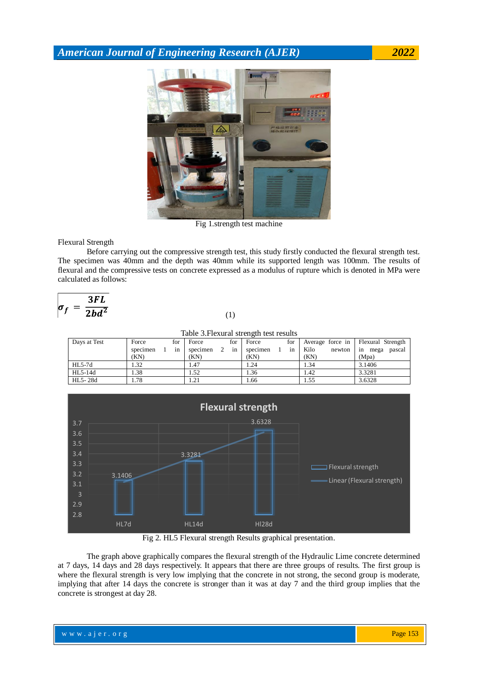

Fig 1.strength test machine

Flexural Strength

Before carrying out the compressive strength test, this study firstly conducted the flexural strength test. The specimen was 40mm and the depth was 40mm while its supported length was 100mm. The results of flexural and the compressive tests on concrete expressed as a modulus of rupture which is denoted in MPa were calculated as follows:

$$
\sigma_f = \frac{3FL}{2bd^2}
$$

(1)

| Table 3. Flexural strength test results |          |  |     |          |   |     |          |  |     |      |        |                                    |        |
|-----------------------------------------|----------|--|-----|----------|---|-----|----------|--|-----|------|--------|------------------------------------|--------|
| Days at Test                            | Force    |  | for | Force    |   | for | Force    |  | for |      |        | Average force in Flexural Strength |        |
|                                         | specimen |  | in  | specimen | 2 | in  | specimen |  | in  | Kilo | newton | in<br>mega                         | pascal |
|                                         | (KN)     |  |     | (KN)     |   |     | (KN)     |  |     | (KN) |        | (Mpa)                              |        |
| HL5-7d                                  | 1.32     |  |     | 1.47     |   |     | 1.24     |  |     | 1.34 |        | 3.1406                             |        |
| HL5-14d                                 | 1.38     |  |     | 1.52     |   |     | 1.36     |  |     | 1.42 |        | 3.3281                             |        |
| HL5-28d                                 | 1.78     |  |     | 1.21     |   |     | 1.66     |  |     | 1.55 |        | 3.6328                             |        |



Fig 2. HL5 Flexural strength Results graphical presentation.

The graph above graphically compares the flexural strength of the Hydraulic Lime concrete determined at 7 days, 14 days and 28 days respectively. It appears that there are three groups of results. The first group is where the flexural strength is very low implying that the concrete in not strong, the second group is moderate, implying that after 14 days the concrete is stronger than it was at day 7 and the third group implies that the concrete is strongest at day 28.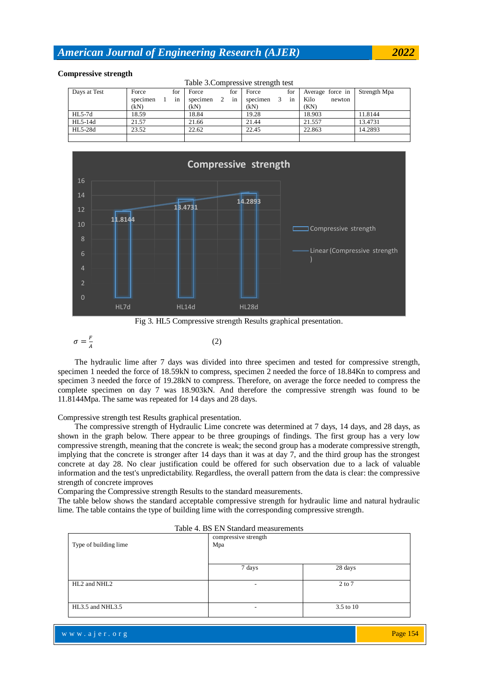### **Compressive strength**

| Table 3. Compressive strength test |                |                     |                     |                  |              |  |  |  |  |  |  |
|------------------------------------|----------------|---------------------|---------------------|------------------|--------------|--|--|--|--|--|--|
| Days at Test                       | Force<br>for   | for<br>Force        | for<br>Force        | Average force in | Strength Mpa |  |  |  |  |  |  |
|                                    | specimen<br>in | specimen<br>in<br>2 | specimen<br>3<br>1n | Kilo<br>newton   |              |  |  |  |  |  |  |
|                                    | (kN)           | (kN)                | (kN)                | (KN)             |              |  |  |  |  |  |  |
| $HL5-7d$                           | 18.59          | 18.84               | 19.28               | 18.903           | 11.8144      |  |  |  |  |  |  |
| $HL5-14d$                          | 21.57          | 21.66               | 21.44               | 21.557           | 13.4731      |  |  |  |  |  |  |
| HL5-28d                            | 23.52          | 22.62               | 22.45               | 22.863           | 14.2893      |  |  |  |  |  |  |
|                                    |                |                     |                     |                  |              |  |  |  |  |  |  |



Fig 3. HL5 Compressive strength Results graphical presentation.

$$
\sigma = \frac{F}{A} \tag{2}
$$

The hydraulic lime after 7 days was divided into three specimen and tested for compressive strength, specimen 1 needed the force of 18.59kN to compress, specimen 2 needed the force of 18.84Kn to compress and specimen 3 needed the force of 19.28kN to compress. Therefore, on average the force needed to compress the complete specimen on day 7 was 18.903kN. And therefore the compressive strength was found to be 11.8144Mpa. The same was repeated for 14 days and 28 days.

Compressive strength test Results graphical presentation.

The compressive strength of Hydraulic Lime concrete was determined at 7 days, 14 days, and 28 days, as shown in the graph below. There appear to be three groupings of findings. The first group has a very low compressive strength, meaning that the concrete is weak; the second group has a moderate compressive strength, implying that the concrete is stronger after 14 days than it was at day 7, and the third group has the strongest concrete at day 28. No clear justification could be offered for such observation due to a lack of valuable information and the test's unpredictability. Regardless, the overall pattern from the data is clear: the compressive strength of concrete improves

Comparing the Compressive strength Results to the standard measurements.

The table below shows the standard acceptable compressive strength for hydraulic lime and natural hydraulic lime. The table contains the type of building lime with the corresponding compressive strength.

|                       | Table 4. DS ET Standard measurements |            |  |  |  |  |  |  |  |
|-----------------------|--------------------------------------|------------|--|--|--|--|--|--|--|
|                       | compressive strength                 |            |  |  |  |  |  |  |  |
| Type of building lime | Mpa                                  |            |  |  |  |  |  |  |  |
|                       |                                      |            |  |  |  |  |  |  |  |
|                       |                                      |            |  |  |  |  |  |  |  |
|                       | 7 days                               | 28 days    |  |  |  |  |  |  |  |
|                       |                                      |            |  |  |  |  |  |  |  |
| HL2 and NHL2          | $\sim$                               | $2$ to $7$ |  |  |  |  |  |  |  |
|                       |                                      |            |  |  |  |  |  |  |  |
|                       |                                      |            |  |  |  |  |  |  |  |
| HL3.5 and NHL3.5      | $\overline{\phantom{0}}$             | 3.5 to 10  |  |  |  |  |  |  |  |
|                       |                                      |            |  |  |  |  |  |  |  |

| Table 4. BS EN Standard measurements |  |  |
|--------------------------------------|--|--|
|--------------------------------------|--|--|

w w w . a j e r . o r g where  $\mathcal{L}_{\mathcal{A}}$  is a just the result of  $\mathcal{L}_{\mathcal{A}}$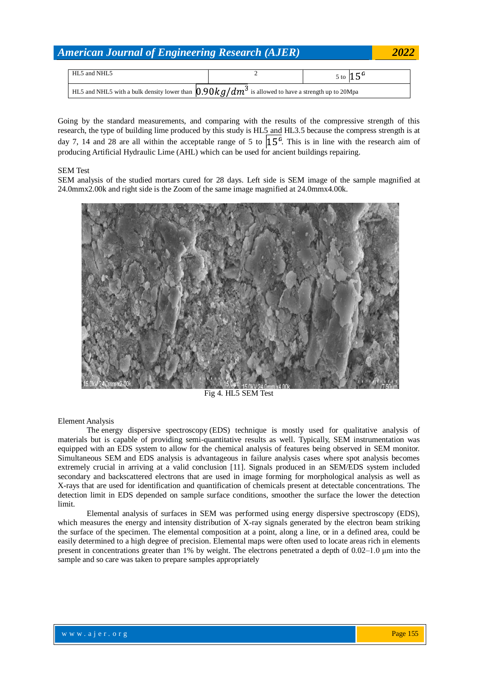| HL5 and NHL5                                                                                         | 5 to $15^{\circ}$ |
|------------------------------------------------------------------------------------------------------|-------------------|
| HL5 and NHL5 with a bulk density lower than $0.90 kg/dm^3$ is allowed to have a strength up to 20Mpa |                   |

Going by the standard measurements, and comparing with the results of the compressive strength of this research, the type of building lime produced by this study is HL5 and HL3.5 because the compress strength is at day 7, 14 and 28 are all within the acceptable range of 5 to  $15<sup>6</sup>$ . This is in line with the research aim of producing Artificial Hydraulic Lime (AHL) which can be used for ancient buildings repairing.

### SEM Test

SEM analysis of the studied mortars cured for 28 days. Left side is SEM image of the sample magnified at 24.0mmx2.00k and right side is the Zoom of the same image magnified at 24.0mmx4.00k.



Fig 4. HL5 SEM Test

Element Analysis

The energy dispersive spectroscopy (EDS) technique is mostly used for qualitative analysis of materials but is capable of providing semi-quantitative results as well. Typically, SEM instrumentation was equipped with an EDS system to allow for the chemical analysis of features being observed in SEM monitor. Simultaneous SEM and EDS analysis is advantageous in failure analysis cases where spot analysis becomes extremely crucial in arriving at a valid conclusion [11]. Signals produced in an SEM/EDS system included secondary and backscattered electrons that are used in image forming for morphological analysis as well as X-rays that are used for identification and quantification of chemicals present at detectable concentrations. The detection limit in EDS depended on sample surface conditions, smoother the surface the lower the detection limit.

Elemental analysis of surfaces in SEM was performed using energy dispersive spectroscopy (EDS), which measures the energy and intensity distribution of X-ray signals generated by the electron beam striking the surface of the specimen. The elemental composition at a point, along a line, or in a defined area, could be easily determined to a high degree of precision. Elemental maps were often used to locate areas rich in elements present in concentrations greater than 1% by weight. The electrons penetrated a depth of 0.02–1.0 μm into the sample and so care was taken to prepare samples appropriately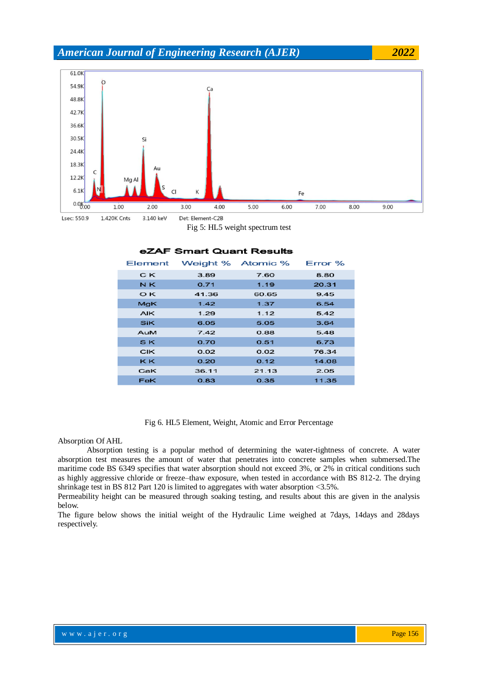

Fig 5: HL5 weight spectrum test

| Element    |       | Weight % Atomic % | $Error \%$ |
|------------|-------|-------------------|------------|
| C K        | 3.89  | 7.60              | 8.80       |
| N K        | 0.71  | 1.19              | 20.31      |
| O K        | 41.36 | 60.65             | 9.45       |
| MgK        | 1.42  | 1.37              | 6.54       |
| <b>AIK</b> | 1.29  | 1.12              | 5.42       |
| <b>SiK</b> | 6.05  | 5.05              | 3.64       |
| AuM        | 7.42  | 0.88              | 5.48       |
| SK.        | 0.70  | 0.51              | 6.73       |
| <b>CIK</b> | 0.02  | 0.02              | 76.34      |
| <b>KK</b>  | 0.20  | 0.12              | 14.08      |
| CaK        | 36.11 | 21.13             | 2.05       |
| <b>FeK</b> | 0.83  | 0.35              | 11.35      |

# ZAF Smart Quant Results

Fig 6. HL5 Element, Weight, Atomic and Error Percentage

#### Absorption Of AHL

Absorption testing is a popular method of determining the water-tightness of concrete. A water absorption test measures the amount of water that penetrates into concrete samples when submersed.The maritime code BS 6349 specifies that water absorption should not exceed 3%, or 2% in critical conditions such as highly aggressive chloride or freeze–thaw exposure, when tested in accordance with BS 812-2. The drying shrinkage test in BS 812 Part 120 is limited to aggregates with water absorption <3.5%.

Permeability height can be measured through soaking testing, and results about this are given in the analysis below.

The figure below shows the initial weight of the Hydraulic Lime weighed at 7days, 14days and 28days respectively.

www.ajer.org where  $\mathcal{L}_{\mathcal{A}}$  is a just the result of  $\mathcal{L}_{\mathcal{A}}$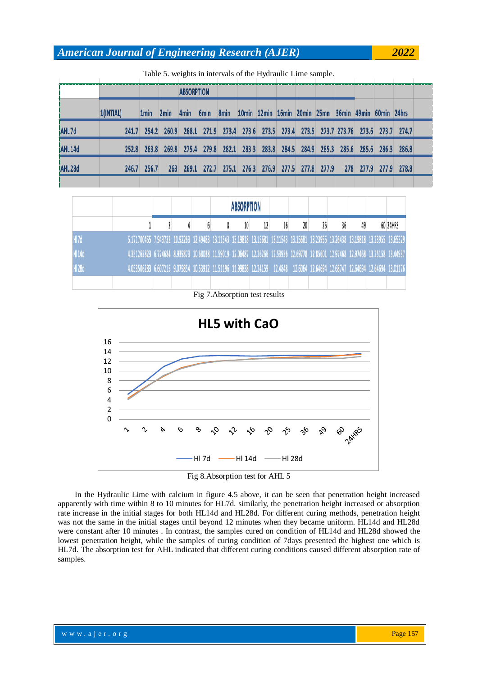|                    |           |       | where $\sigma$ , weights in must valle of the rryardame mille sumple. |                   |                  |      |                                                             |  |  |           |       |                                                                          |  |
|--------------------|-----------|-------|-----------------------------------------------------------------------|-------------------|------------------|------|-------------------------------------------------------------|--|--|-----------|-------|--------------------------------------------------------------------------|--|
|                    |           |       |                                                                       | <b>ABSORPTION</b> |                  |      |                                                             |  |  |           |       |                                                                          |  |
|                    | 1(INTIAL) | 1min  | 2min                                                                  | 4 <sub>min</sub>  | 6 <sub>min</sub> | 8min | 10min 12min 16min 20min 25mn 36min 49min 60min 24hrs        |  |  |           |       |                                                                          |  |
| AHL7d              | 241.7     | 254.2 | 260.9                                                                 |                   |                  |      |                                                             |  |  |           |       | 268.1 271.9 273.4 273.6 273.5 273.4 273.5 273.7 273.76 273.6 273.7 274.7 |  |
| AHL <sub>14d</sub> | 252.8     | 263.8 | 269.8                                                                 |                   |                  |      | 275.4 279.8 282.1 283.3 283.8 284.5 284.9 285.3 285.6 285.6 |  |  |           | 286.3 | 286.8                                                                    |  |
| AHL <sub>28d</sub> | 246.7     | 256.7 | 263                                                                   | 269.1             | 272.7            |      | 275.1 276.3 276.9 277.5 277.8 277.9                         |  |  | 278 277.9 |       | 277.9 278.8                                                              |  |
|                    |           |       |                                                                       |                   |                  |      |                                                             |  |  |           |       |                                                                          |  |

Table 5. weights in intervals of the Hydraulic Lime sample.

|      |                                                                                                                                  |  |  | <b>ABSORPTION</b> |  |    |  |    |          |
|------|----------------------------------------------------------------------------------------------------------------------------------|--|--|-------------------|--|----|--|----|----------|
|      |                                                                                                                                  |  |  |                   |  | 20 |  | 49 | 60 24HRS |
|      | 5.171700455 7.943732 10.92263 12.49483 13.11543 13.19818 13.15681 13.11543 13.15681 13.23955 13.26438 13.19818 13.23955 13.65329 |  |  |                   |  |    |  |    |          |
| H14d | 4.351265823 6.724684 8.939873 10.68038 11.59019 12.06487 12.26266 12.53956 12.69778 12.85601 12.97468 12.97468 13.25158 13.44937 |  |  |                   |  |    |  |    |          |
| H28d | 4.053506283 6.607215 9.079854 10.53912 11.51196 11.99838 12.24159 12.4848 12.6064 12.64694 12.68747 12.64694 12.64694 13.01176   |  |  |                   |  |    |  |    |          |
|      |                                                                                                                                  |  |  |                   |  |    |  |    |          |

Fig 7.Absorption test results



Fig 8.Absorption test for AHL 5

In the Hydraulic Lime with calcium in figure 4.5 above, it can be seen that penetration height increased apparently with time within 8 to 10 minutes for HL7d. similarly, the penetration height increased or absorption rate increase in the initial stages for both HL14d and HL28d. For different curing methods, penetration height was not the same in the initial stages until beyond 12 minutes when they became uniform. HL14d and HL28d were constant after 10 minutes . In contrast, the samples cured on condition of HL14d and HL28d showed the lowest penetration height, while the samples of curing condition of 7days presented the highest one which is HL7d. The absorption test for AHL indicated that different curing conditions caused different absorption rate of samples.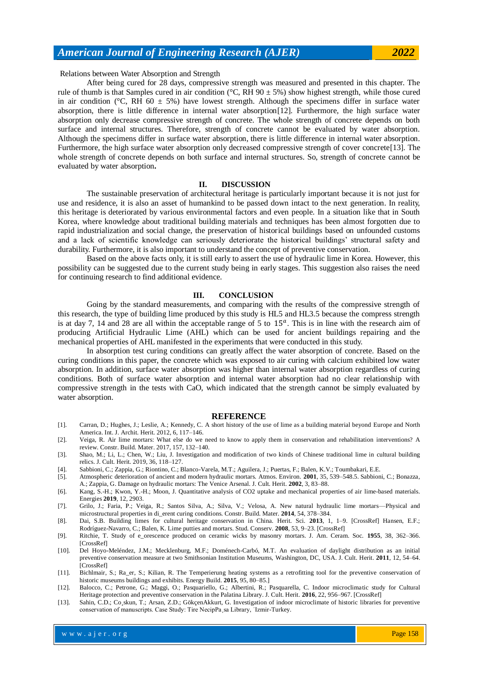### Relations between Water Absorption and Strength

After being cured for 28 days, compressive strength was measured and presented in this chapter. The rule of thumb is that Samples cured in air condition ( $\degree$ C, RH 90  $\pm$  5%) show highest strength, while those cured in air condition ( $^{\circ}$ C, RH 60  $\pm$  5%) have lowest strength. Although the specimens differ in surface water absorption, there is little difference in internal water absorption[12]. Furthermore, the high surface water absorption only decrease compressive strength of concrete. The whole strength of concrete depends on both surface and internal structures. Therefore, strength of concrete cannot be evaluated by water absorption. Although the specimens differ in surface water absorption, there is little difference in internal water absorption. Furthermore, the high surface water absorption only decreased compressive strength of cover concrete[13]. The whole strength of concrete depends on both surface and internal structures. So, strength of concrete cannot be evaluated by water absorption**.**

#### **II. DISCUSSION**

The sustainable preservation of architectural heritage is particularly important because it is not just for use and residence, it is also an asset of humankind to be passed down intact to the next generation. In reality, this heritage is deteriorated by various environmental factors and even people. In a situation like that in South Korea, where knowledge about traditional building materials and techniques has been almost forgotten due to rapid industrialization and social change, the preservation of historical buildings based on unfounded customs and a lack of scientific knowledge can seriously deteriorate the historical buildings' structural safety and durability. Furthermore, it is also important to understand the concept of preventive conservation.

Based on the above facts only, it is still early to assert the use of hydraulic lime in Korea. However, this possibility can be suggested due to the current study being in early stages. This suggestion also raises the need for continuing research to find additional evidence.

#### **III. CONCLUSION**

Going by the standard measurements, and comparing with the results of the compressive strength of this research, the type of building lime produced by this study is HL5 and HL3.5 because the compress strength is at day 7, 14 and 28 are all within the acceptable range of 5 to  $15<sup>a</sup>$ . This is in line with the research aim of producing Artificial Hydraulic Lime (AHL) which can be used for ancient buildings repairing and the mechanical properties of AHL manifested in the experiments that were conducted in this study.

In absorption test curing conditions can greatly affect the water absorption of concrete. Based on the curing conditions in this paper, the concrete which was exposed to air curing with calcium exhibited low water absorption. In addition, surface water absorption was higher than internal water absorption regardless of curing conditions. Both of surface water absorption and internal water absorption had no clear relationship with compressive strength in the tests with CaO, which indicated that the strength cannot be simply evaluated by water absorption.

#### **REFERENCE**

- [1]. Carran, D.; Hughes, J.; Leslie, A.; Kennedy, C. A short history of the use of lime as a building material beyond Europe and North America. Int. J. Archit. Herit. 2012, 6, 117–146.
- [2]. Veiga, R. Air lime mortars: What else do we need to know to apply them in conservation and rehabilitation interventions? A review. Constr. Build. Mater. 2017, 157, 132–140.
- [3]. Shao, M.; Li, L.; Chen, W.; Liu, J. Investigation and modification of two kinds of Chinese traditional lime in cultural building relics. J. Cult. Herit. 2019, 36, 118–127.
- [4]. Sabbioni, C.; Zappia, G.; Riontino, C.; Blanco-Varela, M.T.; Aguilera, J.; Puertas, F.; Balen, K.V.; Toumbakari, E.E.
- [5]. Atmospheric deterioration of ancient and modern hydraulic mortars. Atmos. Environ. **2001**, 35, 539–548.5. Sabbioni, C.; Bonazza, A.; Zappia, G. Damage on hydraulic mortars: The Venice Arsenal. J. Cult. Herit. **2002**, 3, 83–88.
- [6]. Kang, S.-H.; Kwon, Y.-H.; Moon, J. Quantitative analysis of CO2 uptake and mechanical properties of air lime-based materials. Energies **2019**, 12, 2903.
- [7]. Grilo, J.; Faria, P.; Veiga, R.; Santos Silva, A.; Silva, V.; Velosa, A. New natural hydraulic lime mortars—Physical and microstructural properties in di\_erent curing conditions. Constr. Build. Mater. **2014**, 54, 378–384.
- [8]. Dai, S.B. Building limes for cultural heritage conservation in China. Herit. Sci. **2013**, 1, 1–9. [CrossRef] Hansen, E.F.; Rodríguez-Navarro, C.; Balen, K. Lime putties and mortars. Stud. Conserv. **2008**, 53, 9–23. [CrossRef]
- [9]. Ritchie, T. Study of e\_orescence produced on ceramic wicks by masonry mortars. J. Am. Ceram. Soc. **1955**, 38, 362–366. [CrossRef]
- [10]. Del Hoyo-Meléndez, J.M.; Mecklenburg, M.F.; Doménech-Carbó, M.T. An evaluation of daylight distribution as an initial preventive conservation measure at two Smithsonian Institution Museums, Washington, DC, USA. J. Cult. Herit. **2011**, 12, 54–64. [CrossRef]
- [11]. Bichlmair, S.; Ra\_er, S.; Kilian, R. The Temperierung heating systems as a retrofitting tool for the preventive conservation of historic museums buildings and exhibits. Energy Build. **2015**, 95, 80–85.]
- [12]. Balocco, C.; Petrone, G.; Maggi, O.; Pasquariello, G.; Albertini, R.; Pasquarella, C. Indoor microclimatic study for Cultural Heritage protection and preventive conservation in the Palatina Library. J. Cult. Herit. **2016**, 22, 956–967. [CrossRef]
- [13]. Sahin, C.D.; Co¸skun, T.; Arsan, Z.D.; GökçenAkkurt, G. Investigation of indoor microclimate of historic libraries for preventive conservation of manuscripts. Case Study: Tire NecipPa¸sa Library, ˙Izmir-Turkey.